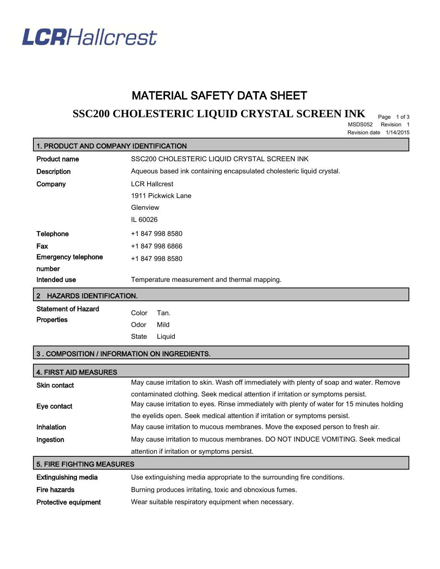

## MATERIAL SAFETY DATA SHEET

# **SSC200 CHOLESTERIC LIQUID CRYSTAL SCREEN INK** Page 1 of 3

MSDS052 Revision 1 Revision date 1/14/2015

## 1. PRODUCT AND COMPANY IDENTIFICATION

| <b>Product name</b>        | SSC200 CHOLESTERIC LIQUID CRYSTAL SCREEN INK                          |
|----------------------------|-----------------------------------------------------------------------|
| <b>Description</b>         | Aqueous based ink containing encapsulated cholesteric liquid crystal. |
| Company                    | <b>LCR Hallcrest</b>                                                  |
|                            | 1911 Pickwick Lane                                                    |
|                            | Glenview                                                              |
|                            | IL 60026                                                              |
| <b>Telephone</b>           | +1 847 998 8580                                                       |
| Fax                        | +1 847 998 6866                                                       |
| <b>Emergency telephone</b> | +1 847 998 8580                                                       |
| number                     |                                                                       |
| Intended use               | Temperature measurement and thermal mapping.                          |

#### 2 HAZARDS IDENTIFICATION.

| <b>Statement of Hazard</b> | Color Tan. |              |
|----------------------------|------------|--------------|
| <b>Properties</b>          | Odor Mild  |              |
|                            |            | State Liquid |

### 3 . COMPOSITION / INFORMATION ON INGREDIENTS.

| <b>4. FIRST AID MEASURES</b>     |                                                                                                                                                                                 |  |
|----------------------------------|---------------------------------------------------------------------------------------------------------------------------------------------------------------------------------|--|
| <b>Skin contact</b>              | May cause irritation to skin. Wash off immediately with plenty of soap and water. Remove                                                                                        |  |
| Eye contact                      | contaminated clothing. Seek medical attention if irritation or symptoms persist.<br>May cause irritation to eyes. Rinse immediately with plenty of water for 15 minutes holding |  |
|                                  | the evelids open. Seek medical attention if irritation or symptoms persist.                                                                                                     |  |
| Inhalation                       | May cause irritation to mucous membranes. Move the exposed person to fresh air.                                                                                                 |  |
| Ingestion                        | May cause irritation to mucous membranes. DO NOT INDUCE VOMITING. Seek medical                                                                                                  |  |
|                                  | attention if irritation or symptoms persist.                                                                                                                                    |  |
| <b>5. FIRE FIGHTING MEASURES</b> |                                                                                                                                                                                 |  |
| <b>Extinguishing media</b>       | Use extinguishing media appropriate to the surrounding fire conditions.                                                                                                         |  |
| Fire hazards                     | Burning produces irritating, toxic and obnoxious fumes.                                                                                                                         |  |
| Protective equipment             | Wear suitable respiratory equipment when necessary.                                                                                                                             |  |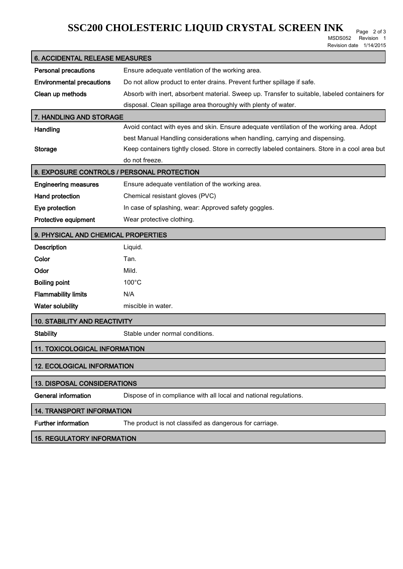# **SSC200 CHOLESTERIC LIQUID CRYSTAL SCREEN INK** Page 2 of 3

MSDS052 Revision 1 Revision date 1/14/2015

| <b>6. ACCIDENTAL RELEASE MEASURES</b>      |                                                                                                 |  |
|--------------------------------------------|-------------------------------------------------------------------------------------------------|--|
| <b>Personal precautions</b>                | Ensure adequate ventilation of the working area.                                                |  |
| <b>Environmental precautions</b>           | Do not allow product to enter drains. Prevent further spillage if safe.                         |  |
| Clean up methods                           | Absorb with inert, absorbent material. Sweep up. Transfer to suitable, labeled containers for   |  |
|                                            | disposal. Clean spillage area thoroughly with plenty of water.                                  |  |
| 7. HANDLING AND STORAGE                    |                                                                                                 |  |
| Handling                                   | Avoid contact with eyes and skin. Ensure adequate ventilation of the working area. Adopt        |  |
|                                            | best Manual Handling considerations when handling, carrying and dispensing.                     |  |
| <b>Storage</b>                             | Keep containers tightly closed. Store in correctly labeled containers. Store in a cool area but |  |
|                                            | do not freeze.                                                                                  |  |
| 8. EXPOSURE CONTROLS / PERSONAL PROTECTION |                                                                                                 |  |
| <b>Engineering measures</b>                | Ensure adequate ventilation of the working area.                                                |  |
| Hand protection                            | Chemical resistant gloves (PVC)                                                                 |  |
| Eye protection                             | In case of splashing, wear: Approved safety goggles.                                            |  |
| Protective equipment                       | Wear protective clothing.                                                                       |  |
| 9. PHYSICAL AND CHEMICAL PROPERTIES        |                                                                                                 |  |
| <b>Description</b>                         | Liquid.                                                                                         |  |
| Color                                      | Tan.                                                                                            |  |
| Odor                                       | Mild.                                                                                           |  |
| <b>Boiling point</b>                       | $100^{\circ}$ C                                                                                 |  |
| <b>Flammability limits</b>                 | N/A                                                                                             |  |
| <b>Water solubility</b>                    | miscible in water.                                                                              |  |
| <b>10. STABILITY AND REACTIVITY</b>        |                                                                                                 |  |
| <b>Stability</b>                           | Stable under normal conditions.                                                                 |  |
| <b>11. TOXICOLOGICAL INFORMATION</b>       |                                                                                                 |  |
| <b>12. ECOLOGICAL INFORMATION</b>          |                                                                                                 |  |
| <b>13. DISPOSAL CONSIDERATIONS</b>         |                                                                                                 |  |
| <b>General information</b>                 | Dispose of in compliance with all local and national regulations.                               |  |
| <b>14. TRANSPORT INFORMATION</b>           |                                                                                                 |  |
| <b>Further information</b>                 | The product is not classifed as dangerous for carriage.                                         |  |
| <b>15. REGULATORY INFORMATION</b>          |                                                                                                 |  |